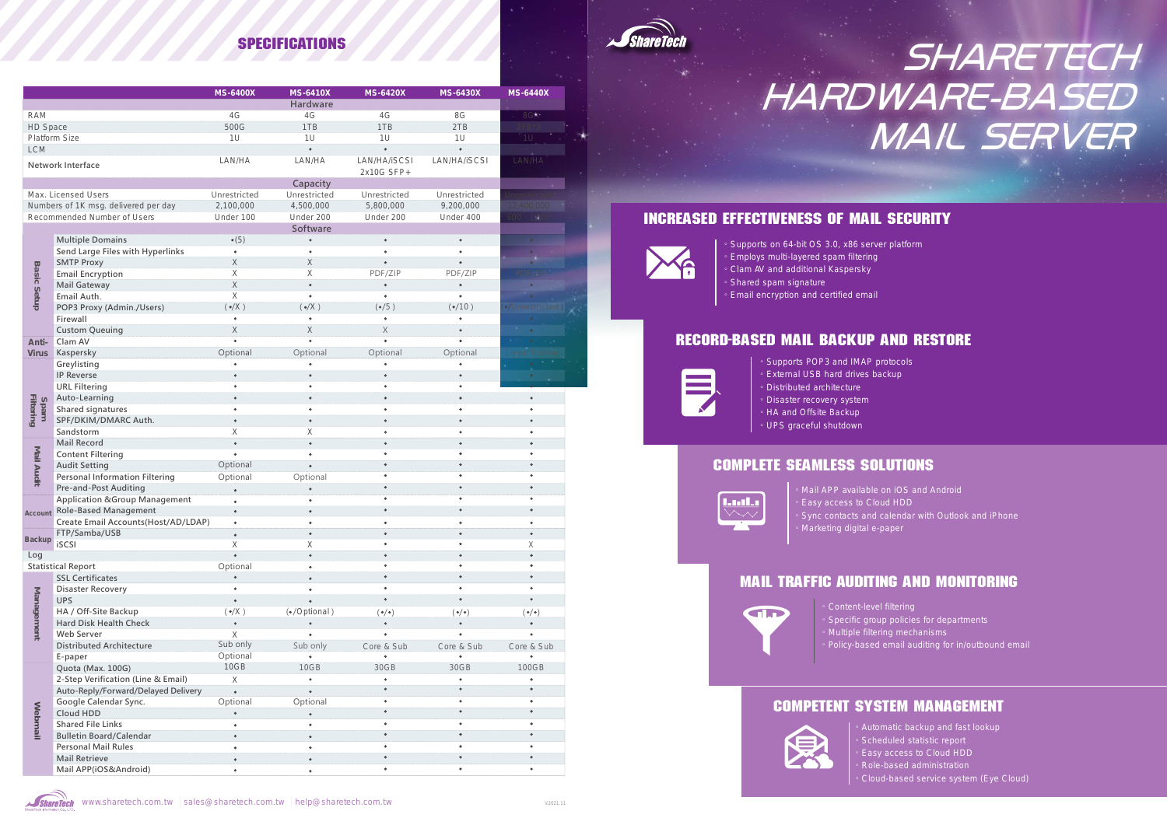。Marketing digital e-paper

。Content-level filtering

- 。Specific group policies for departments
- 。.<br>Multiple filtering mechanisms
- 。Policy-based email auditing for in/outbound email

Automatic backup and fast lookup

。Supports on 64-bit OS 3.0, x86 server platform 。Employs multi-layered spam filtering

- 。Clam AV and additional Kaspersky
- 。Shared spam signature
- 。Email encryption and certified email

- Scheduled statistic report
- 。Easy access to Cloud HDD
- 。Role-based administration
- 。Cloud-based service system (Eye Cloud)

。Supports POP3 and IMAP protocols

- 。External USB hard drives backup 。Distributed architecture
- 。Disaster recovery system
- 。HA and Offsite Backup
- 。UPS graceful shutdown

## Increased Effectiveness of Mail Security



# Record-Based Mail Backup and Restore



# Complete Seamless Solutions



Mail APP available on iOS and Android Easy access to Cloud HDD

- - Sync contacts and calendar with Outlook and iPhone

# Mail Traffic Auditing and Monitoring



# Competent System Management





# MAIL SERVER **SHARETECH** HARDWARE-BASED

# **SPECIFICATIONS**

|                             |                                          | <b>MS-6400X</b>        | <b>MS-6410X</b>        | <b>MS-6420X</b>     | <b>MS-6430X</b>     | <b>MS-6440X</b>     |
|-----------------------------|------------------------------------------|------------------------|------------------------|---------------------|---------------------|---------------------|
|                             |                                          |                        | Hardware               |                     |                     |                     |
| <b>RAM</b>                  |                                          | 4G                     | 4G                     | 4G                  | 8G                  | 8G                  |
| HD Space                    |                                          | 500G                   | 1TB                    | 1TB                 | 2TB                 | $2TB*3$             |
| Platform Size               |                                          | 1U                     | 1U                     | 1U                  | 1U                  | 1U                  |
| <b>LCM</b>                  |                                          |                        | $\bullet$              | $\bullet$           | $\bullet$           |                     |
|                             |                                          | LAN/HA                 | LAN/HA                 | LAN/HA/iSCSI        | LAN/HA/iSCSI        | LAN/HA              |
| Network Interface           |                                          |                        |                        | 2x10G SFP+          |                     |                     |
|                             |                                          |                        | Capacity               |                     |                     |                     |
| Max. Licensed Users         |                                          | Unrestricted           | Unrestricted           | Unrestricted        | Unrestricted        | Unrestricted        |
|                             | Numbers of 1K msg. delivered per day     | 2,100,000              | 4,500,000              | 5,800,000           | 9,200,000           | 12,400,000          |
| Recommended Number of Users |                                          | Under 100              | Under 200              | Under 200           | Under 400           | $600 - 1,000$       |
|                             |                                          |                        | Software               |                     |                     |                     |
| <b>Basic Setup</b>          | <b>Multiple Domains</b>                  | $\bullet(5)$           | $\bullet$              | $\bullet$           | $\bullet$           | $\bullet$           |
|                             | Send Large Files with Hyperlinks         | $\bullet$              | $\bullet$              |                     |                     |                     |
|                             | <b>SMTP Proxy</b>                        | $\mathsf X$            | $\mathsf X$            | $\bullet$           | $\bullet$           | $\bullet$           |
|                             | <b>Email Encryption</b>                  | $\mathsf X$            | X                      | PDF/ZIP             | PDF/ZIP             | PDF/ZIP             |
|                             | Mail Gateway                             | $\mathsf X$            | $\bullet$              | $\bullet$           | $\bullet$           | $\bullet$           |
|                             | Email Auth.                              | $\mathsf X$            | $\bullet$              | $\bullet$           | $\bullet$           |                     |
|                             | POP3 Proxy (Admin./Users)                | $(\bullet/X)$          | $(\bullet/X)$          | $(*/5)$             | $(*/10)$            | (./Unrestricted)    |
|                             | Firewall                                 | $\bullet$              | $\bullet$              | $\bullet$           |                     |                     |
|                             | <b>Custom Queuing</b>                    | $\mathsf X$            | $\mathsf X$            | X                   |                     |                     |
| Anti-                       | Clam AV                                  | $\bullet$              | $\bullet$              | $\bullet$           |                     | $\bullet$           |
| <b>Virus</b>                | Kaspersky                                | Optional               | Optional               | Optional            | Optional            | 1-year license      |
| <b>Filtering</b><br>Spam    | Greylisting                              |                        |                        |                     |                     |                     |
|                             | <b>IP Reverse</b>                        | $\bullet$              | $\bullet$              | $\bullet$           | $\bullet$           | $\bullet$           |
|                             | <b>URL Filtering</b>                     | $\bullet$              | $\bullet$              | $\bullet$           | $\bullet$           |                     |
|                             | Auto-Learning                            | $\bullet$              | $\bullet$              | $\bullet$           | $\bullet$           | $\bullet$           |
|                             | Shared signatures                        | ٠                      | $\bullet$              | $\bullet$           | $\bullet$           | $\bullet$           |
|                             | SPF/DKIM/DMARC Auth.                     | $\bullet$              | $\bullet$              | $\bullet$           | $\bullet$           | $\bullet$           |
|                             | Sandstorm                                | Χ                      | Χ                      | $\bullet$           | ٠                   |                     |
| Mail Audit                  | Mail Record                              | $\bullet$              | $\bullet$              | $\bullet$           | $\bullet$           | $\bullet$           |
|                             | <b>Content Filtering</b>                 | $\bullet$              | $\bullet$              |                     |                     |                     |
|                             | <b>Audit Setting</b>                     | Optional               | $\bullet$              | $\bullet$           | $\bullet$           | $\bullet$           |
|                             | <b>Personal Information Filtering</b>    | Optional               | Optional               | $\bullet$           | ٠                   | $\bullet$           |
|                             | <b>Pre-and-Post Auditing</b>             |                        |                        | $\bullet$           | $\bullet$           |                     |
| Account<br><b>Backup</b>    | <b>Application &amp;Group Management</b> | $\bullet$              | $\bullet$              | $\bullet$           | ٠                   | $\bullet$           |
|                             | <b>Role-Based Management</b>             | $\bullet$<br>$\bullet$ | $\bullet$              | $\bullet$           | $\bullet$           | $\bullet$           |
|                             | Create Email Accounts (Host/AD/LDAP)     |                        |                        |                     |                     |                     |
|                             | FTP/Samba/USB                            | $\bullet$              | $\bullet$              | $\bullet$           |                     | $\bullet$           |
|                             | iSCSI                                    | X                      | X                      |                     |                     | Χ                   |
| Log                         |                                          | $\bullet$              | $\bullet$              |                     | $\bullet$           | $\bullet$           |
|                             | <b>Statistical Report</b>                | Optional               | $\bullet$              |                     |                     |                     |
| Management                  | <b>SSL Certificates</b>                  |                        | $\bullet$              |                     | $\bullet$           | $\bullet$           |
|                             | Disaster Recovery                        |                        | ٠                      |                     |                     |                     |
|                             | <b>UPS</b>                               | $\bullet$              | $\bullet$              |                     |                     |                     |
|                             | HA / Off-Site Backup                     | $(\bullet/X)$          | (·/Optional)           | $(\bullet/\bullet)$ | $(\bullet/\bullet)$ | $(\bullet/\bullet)$ |
|                             | Hard Disk Health Check                   | $\bullet$              |                        | $\bullet$           |                     |                     |
|                             | Web Server                               | $\mathsf X$            |                        |                     |                     |                     |
|                             | <b>Distributed Architecture</b>          | Sub only               | Sub only               | Core & Sub          | Core & Sub          | Core & Sub          |
|                             | E-paper                                  | Optional               |                        |                     |                     |                     |
| Webmail                     | Quota (Max. 100G)                        | 10GB                   | 10GB                   | 30GB                | 30GB                | 100GB               |
|                             | 2-Step Verification (Line & Email)       | $\mathsf X$            |                        |                     |                     |                     |
|                             | Auto-Reply/Forward/Delayed Delivery      | $\bullet$              | $\bullet$              | $\bullet$           | $\bullet$           |                     |
|                             | Google Calendar Sync.                    | Optional               | Optional               | $\bullet$           |                     |                     |
|                             | Cloud HDD                                | $\bullet$              | $\bullet$              | $\bullet$           |                     | $\bullet$           |
|                             | <b>Shared File Links</b>                 |                        |                        |                     |                     |                     |
|                             | <b>Bulletin Board/Calendar</b>           | $\bullet$              |                        |                     | $\bullet$           | $\bullet$           |
|                             | <b>Personal Mail Rules</b>               | $\bullet$              | $\bullet$<br>$\bullet$ | $\bullet$           |                     | $\bullet$           |
|                             | <b>Mail Retrieve</b>                     | $\bullet$              | $\bullet$              | $\bullet$           | $\bullet$           | $\bullet$           |
|                             | Mail APP(iOS&Android)                    | $\bullet$              |                        | $\bullet$           | $\bullet$           | $\bullet$           |
|                             |                                          |                        | $\bullet$              |                     |                     |                     |